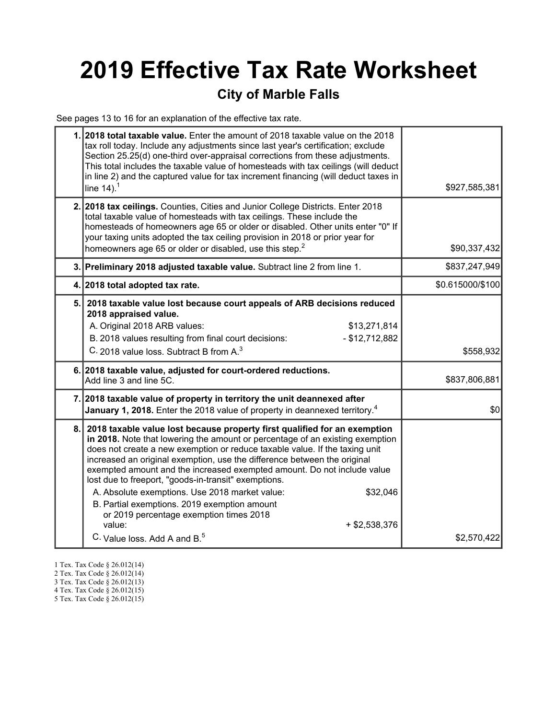# 2019 Effective Tax Rate Worksheet

### City of Marble Falls

See pages 13 to 16 for an explanation of the effective tax rate.

|     | 1. 2018 total taxable value. Enter the amount of 2018 taxable value on the 2018<br>tax roll today. Include any adjustments since last year's certification; exclude<br>Section 25.25(d) one-third over-appraisal corrections from these adjustments.<br>This total includes the taxable value of homesteads with tax ceilings (will deduct<br>in line 2) and the captured value for tax increment financing (will deduct taxes in<br>line $14$ ). <sup>1</sup>                                                                                                                                                                                                                             | \$927,585,381    |
|-----|--------------------------------------------------------------------------------------------------------------------------------------------------------------------------------------------------------------------------------------------------------------------------------------------------------------------------------------------------------------------------------------------------------------------------------------------------------------------------------------------------------------------------------------------------------------------------------------------------------------------------------------------------------------------------------------------|------------------|
|     | 2. 2018 tax ceilings. Counties, Cities and Junior College Districts. Enter 2018<br>total taxable value of homesteads with tax ceilings. These include the<br>homesteads of homeowners age 65 or older or disabled. Other units enter "0" If<br>your taxing units adopted the tax ceiling provision in 2018 or prior year for<br>homeowners age 65 or older or disabled, use this step. <sup>2</sup>                                                                                                                                                                                                                                                                                        | \$90,337,432     |
|     | 3. Preliminary 2018 adjusted taxable value. Subtract line 2 from line 1.                                                                                                                                                                                                                                                                                                                                                                                                                                                                                                                                                                                                                   | \$837,247,949    |
|     | 4. 2018 total adopted tax rate.                                                                                                                                                                                                                                                                                                                                                                                                                                                                                                                                                                                                                                                            | \$0.615000/\$100 |
| 5.  | 2018 taxable value lost because court appeals of ARB decisions reduced<br>2018 appraised value.<br>A. Original 2018 ARB values:<br>\$13,271,814<br>$-$ \$12,712,882<br>B. 2018 values resulting from final court decisions:<br>C. 2018 value loss. Subtract B from A. <sup>3</sup>                                                                                                                                                                                                                                                                                                                                                                                                         | \$558,932        |
|     | 6. 2018 taxable value, adjusted for court-ordered reductions.<br>Add line 3 and line 5C.                                                                                                                                                                                                                                                                                                                                                                                                                                                                                                                                                                                                   | \$837,806,881    |
|     | 7. 2018 taxable value of property in territory the unit deannexed after<br><b>January 1, 2018.</b> Enter the 2018 value of property in deannexed territory. <sup>4</sup>                                                                                                                                                                                                                                                                                                                                                                                                                                                                                                                   | \$0              |
| 8.1 | 2018 taxable value lost because property first qualified for an exemption<br>in 2018. Note that lowering the amount or percentage of an existing exemption<br>does not create a new exemption or reduce taxable value. If the taxing unit<br>increased an original exemption, use the difference between the original<br>exempted amount and the increased exempted amount. Do not include value<br>lost due to freeport, "goods-in-transit" exemptions.<br>\$32,046<br>A. Absolute exemptions. Use 2018 market value:<br>B. Partial exemptions. 2019 exemption amount<br>or 2019 percentage exemption times 2018<br>value:<br>$+$ \$2,538,376<br>C. Value loss. Add A and B. <sup>5</sup> | \$2,570,422      |

1 Tex. Tax Code § 26.012(14)

<sup>2</sup> Tex. Tax Code § 26.012(14)

<sup>3</sup> Tex. Tax Code § 26.012(13)

<sup>4</sup> Tex. Tax Code § 26.012(15)

<sup>5</sup> Tex. Tax Code § 26.012(15)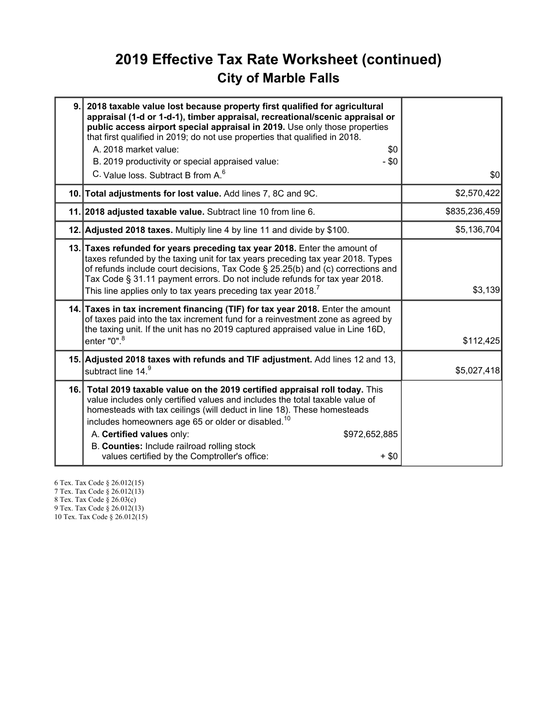## 2019 Effective Tax Rate Worksheet (continued) City of Marble Falls

| 9. 2018 taxable value lost because property first qualified for agricultural<br>appraisal (1-d or 1-d-1), timber appraisal, recreational/scenic appraisal or<br>public access airport special appraisal in 2019. Use only those properties<br>that first qualified in 2019; do not use properties that qualified in 2018.<br>A. 2018 market value:<br>\$0<br>B. 2019 productivity or special appraised value:<br>- \$0<br>C. Value loss. Subtract B from A. <sup>6</sup> | \$0           |
|--------------------------------------------------------------------------------------------------------------------------------------------------------------------------------------------------------------------------------------------------------------------------------------------------------------------------------------------------------------------------------------------------------------------------------------------------------------------------|---------------|
| 10. Total adjustments for lost value. Add lines 7, 8C and 9C.                                                                                                                                                                                                                                                                                                                                                                                                            | \$2,570,422   |
| 11. 2018 adjusted taxable value. Subtract line 10 from line 6.                                                                                                                                                                                                                                                                                                                                                                                                           | \$835,236,459 |
| 12. Adjusted 2018 taxes. Multiply line 4 by line 11 and divide by \$100.                                                                                                                                                                                                                                                                                                                                                                                                 | \$5,136,704   |
| 13. Taxes refunded for years preceding tax year 2018. Enter the amount of<br>taxes refunded by the taxing unit for tax years preceding tax year 2018. Types<br>of refunds include court decisions, Tax Code § 25.25(b) and (c) corrections and<br>Tax Code § 31.11 payment errors. Do not include refunds for tax year 2018.<br>This line applies only to tax years preceding tax year 2018. <sup>7</sup>                                                                | \$3,139       |
| 14. Taxes in tax increment financing (TIF) for tax year 2018. Enter the amount<br>of taxes paid into the tax increment fund for a reinvestment zone as agreed by<br>the taxing unit. If the unit has no 2019 captured appraised value in Line 16D,<br>enter "0". <sup>8</sup>                                                                                                                                                                                            | \$112,425     |
| 15. Adjusted 2018 taxes with refunds and TIF adjustment. Add lines 12 and 13,<br>subtract line 14.9                                                                                                                                                                                                                                                                                                                                                                      | \$5,027,418   |
| 16. Total 2019 taxable value on the 2019 certified appraisal roll today. This<br>value includes only certified values and includes the total taxable value of<br>homesteads with tax ceilings (will deduct in line 18). These homesteads<br>includes homeowners age 65 or older or disabled. <sup>10</sup><br>A. Certified values only:<br>\$972,652,885<br>B. Counties: Include railroad rolling stock<br>values certified by the Comptroller's office:<br>$+$ \$0      |               |

6 Tex. Tax Code § 26.012(15) 7 Tex. Tax Code § 26.012(13) 8 Tex. Tax Code § 26.03(c)

9 Tex. Tax Code § 26.012(13)

10 Tex. Tax Code § 26.012(15)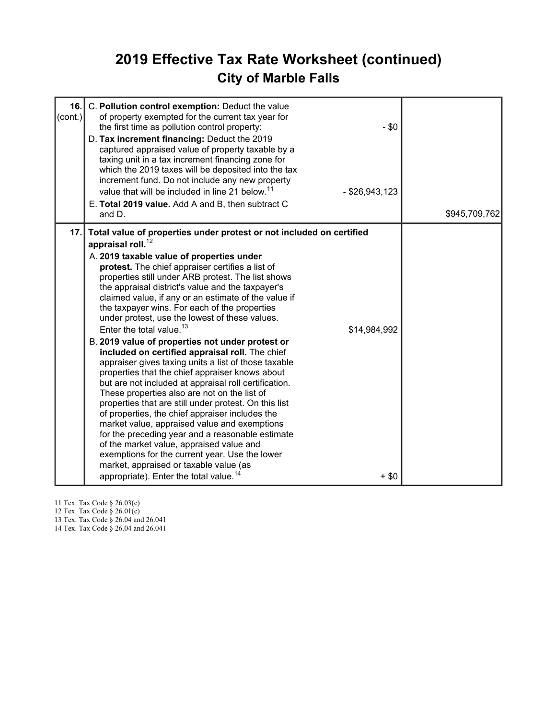## 2019 Effective Tax Rate Worksheet (continued) City of Marble Falls

| 16.1<br>(cont.) | C. Pollution control exemption: Deduct the value<br>of property exempted for the current tax year for<br>the first time as pollution control property:<br>D. Tax increment financing: Deduct the 2019<br>captured appraised value of property taxable by a<br>taxing unit in a tax increment financing zone for<br>which the 2019 taxes will be deposited into the tax<br>increment fund. Do not include any new property<br>value that will be included in line 21 below. <sup>11</sup><br>E. Total 2019 value. Add A and B, then subtract C<br>and D.                                                                                                                                                                                                                                                                                                                                                                                                                                                                                                                                                                                                                                                                                                 | $-$ \$0<br>$-$ \$26,943,123 | \$945,709,762 |
|-----------------|---------------------------------------------------------------------------------------------------------------------------------------------------------------------------------------------------------------------------------------------------------------------------------------------------------------------------------------------------------------------------------------------------------------------------------------------------------------------------------------------------------------------------------------------------------------------------------------------------------------------------------------------------------------------------------------------------------------------------------------------------------------------------------------------------------------------------------------------------------------------------------------------------------------------------------------------------------------------------------------------------------------------------------------------------------------------------------------------------------------------------------------------------------------------------------------------------------------------------------------------------------|-----------------------------|---------------|
| 17.1            | Total value of properties under protest or not included on certified<br>appraisal roll. $^{12}$<br>A. 2019 taxable value of properties under<br>protest. The chief appraiser certifies a list of<br>properties still under ARB protest. The list shows<br>the appraisal district's value and the taxpayer's<br>claimed value, if any or an estimate of the value if<br>the taxpayer wins. For each of the properties<br>under protest, use the lowest of these values.<br>Enter the total value. <sup>13</sup><br>B. 2019 value of properties not under protest or<br>included on certified appraisal roll. The chief<br>appraiser gives taxing units a list of those taxable<br>properties that the chief appraiser knows about<br>but are not included at appraisal roll certification.<br>These properties also are not on the list of<br>properties that are still under protest. On this list<br>of properties, the chief appraiser includes the<br>market value, appraised value and exemptions<br>for the preceding year and a reasonable estimate<br>of the market value, appraised value and<br>exemptions for the current year. Use the lower<br>market, appraised or taxable value (as<br>appropriate). Enter the total value. <sup>14</sup> | \$14,984,992<br>$+$ \$0     |               |

11 Tex. Tax Code § 26.03(c)

12 Tex. Tax Code § 26.01(c)

13 Tex. Tax Code § 26.04 and 26.041

14 Tex. Tax Code § 26.04 and 26.041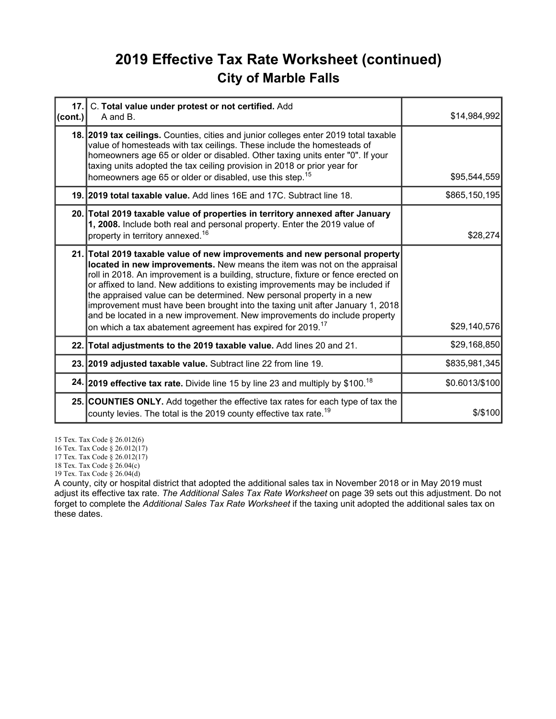## 2019 Effective Tax Rate Worksheet (continued) City of Marble Falls

| $\left(\text{cont.}\right)$ | 17. C. Total value under protest or not certified. Add<br>A and B.                                                                                                                                                                                                                                                                                                                                                                                                                                                                                                                                                                             | \$14,984,992   |
|-----------------------------|------------------------------------------------------------------------------------------------------------------------------------------------------------------------------------------------------------------------------------------------------------------------------------------------------------------------------------------------------------------------------------------------------------------------------------------------------------------------------------------------------------------------------------------------------------------------------------------------------------------------------------------------|----------------|
|                             | 18. 2019 tax ceilings. Counties, cities and junior colleges enter 2019 total taxable<br>value of homesteads with tax ceilings. These include the homesteads of<br>homeowners age 65 or older or disabled. Other taxing units enter "0". If your<br>taxing units adopted the tax ceiling provision in 2018 or prior year for<br>homeowners age 65 or older or disabled, use this step. <sup>15</sup>                                                                                                                                                                                                                                            | \$95,544,559   |
|                             | 19. 2019 total taxable value. Add lines 16E and 17C. Subtract line 18.                                                                                                                                                                                                                                                                                                                                                                                                                                                                                                                                                                         | \$865,150,195  |
|                             | 20. Total 2019 taxable value of properties in territory annexed after January<br>1, 2008. Include both real and personal property. Enter the 2019 value of<br>property in territory annexed. <sup>16</sup>                                                                                                                                                                                                                                                                                                                                                                                                                                     | \$28,274       |
|                             | 21. Total 2019 taxable value of new improvements and new personal property<br>located in new improvements. New means the item was not on the appraisal<br>roll in 2018. An improvement is a building, structure, fixture or fence erected on<br>or affixed to land. New additions to existing improvements may be included if<br>the appraised value can be determined. New personal property in a new<br>improvement must have been brought into the taxing unit after January 1, 2018<br>and be located in a new improvement. New improvements do include property<br>on which a tax abatement agreement has expired for 2019. <sup>17</sup> | \$29,140,576   |
|                             | 22. Total adjustments to the 2019 taxable value. Add lines 20 and 21.                                                                                                                                                                                                                                                                                                                                                                                                                                                                                                                                                                          | \$29,168,850   |
|                             | 23. 2019 adjusted taxable value. Subtract line 22 from line 19.                                                                                                                                                                                                                                                                                                                                                                                                                                                                                                                                                                                | \$835,981,345  |
|                             | 24. 2019 effective tax rate. Divide line 15 by line 23 and multiply by \$100. <sup>18</sup>                                                                                                                                                                                                                                                                                                                                                                                                                                                                                                                                                    | \$0.6013/\$100 |
|                             | 25. COUNTIES ONLY. Add together the effective tax rates for each type of tax the<br>county levies. The total is the 2019 county effective tax rate. <sup>19</sup>                                                                                                                                                                                                                                                                                                                                                                                                                                                                              | $$$ /\$100     |

15 Tex. Tax Code § 26.012(6)

16 Tex. Tax Code § 26.012(17)

17 Tex. Tax Code § 26.012(17)

18 Tex. Tax Code § 26.04(c)

19 Tex. Tax Code § 26.04(d)

A county, city or hospital district that adopted the additional sales tax in November 2018 or in May 2019 must adjust its effective tax rate. The Additional Sales Tax Rate Worksheet on page 39 sets out this adjustment. Do not forget to complete the Additional Sales Tax Rate Worksheet if the taxing unit adopted the additional sales tax on these dates.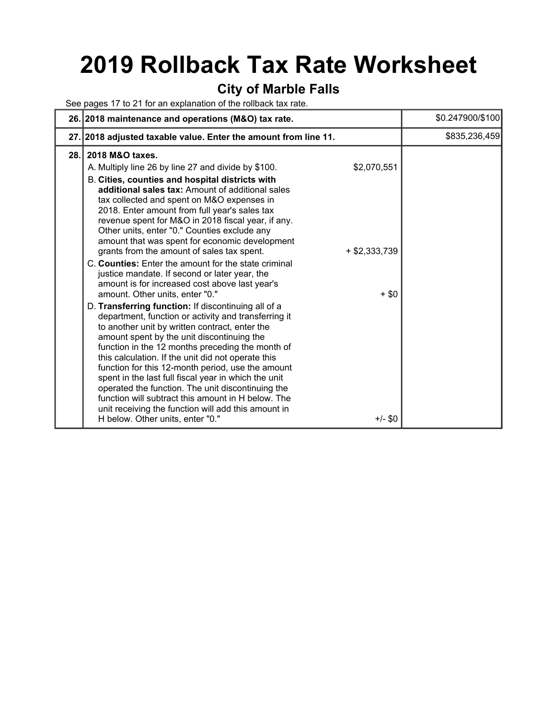## 2019 Rollback Tax Rate Worksheet

#### City of Marble Falls

See pages 17 to 21 for an explanation of the rollback tax rate.

|      | 26. 2018 maintenance and operations (M&O) tax rate.                                                                                                                                                                                                                                                                                                                                                                                                                                                                                                                                                                                                                         |                                | \$0.247900/\$100 |
|------|-----------------------------------------------------------------------------------------------------------------------------------------------------------------------------------------------------------------------------------------------------------------------------------------------------------------------------------------------------------------------------------------------------------------------------------------------------------------------------------------------------------------------------------------------------------------------------------------------------------------------------------------------------------------------------|--------------------------------|------------------|
|      | 27. 2018 adjusted taxable value. Enter the amount from line 11.                                                                                                                                                                                                                                                                                                                                                                                                                                                                                                                                                                                                             |                                | \$835,236,459    |
| 28.1 | 2018 M&O taxes.<br>A. Multiply line 26 by line 27 and divide by \$100.<br>B. Cities, counties and hospital districts with<br>additional sales tax: Amount of additional sales<br>tax collected and spent on M&O expenses in<br>2018. Enter amount from full year's sales tax<br>revenue spent for M&O in 2018 fiscal year, if any.<br>Other units, enter "0." Counties exclude any<br>amount that was spent for economic development<br>grants from the amount of sales tax spent.<br>C. Counties: Enter the amount for the state criminal<br>justice mandate. If second or later year, the<br>amount is for increased cost above last year's                               | \$2,070,551<br>$+$ \$2,333,739 |                  |
|      | amount. Other units, enter "0."<br>D. Transferring function: If discontinuing all of a<br>department, function or activity and transferring it<br>to another unit by written contract, enter the<br>amount spent by the unit discontinuing the<br>function in the 12 months preceding the month of<br>this calculation. If the unit did not operate this<br>function for this 12-month period, use the amount<br>spent in the last full fiscal year in which the unit<br>operated the function. The unit discontinuing the<br>function will subtract this amount in H below. The<br>unit receiving the function will add this amount in<br>H below. Other units, enter "0." | $+$ \$0<br>$+/-$ \$0           |                  |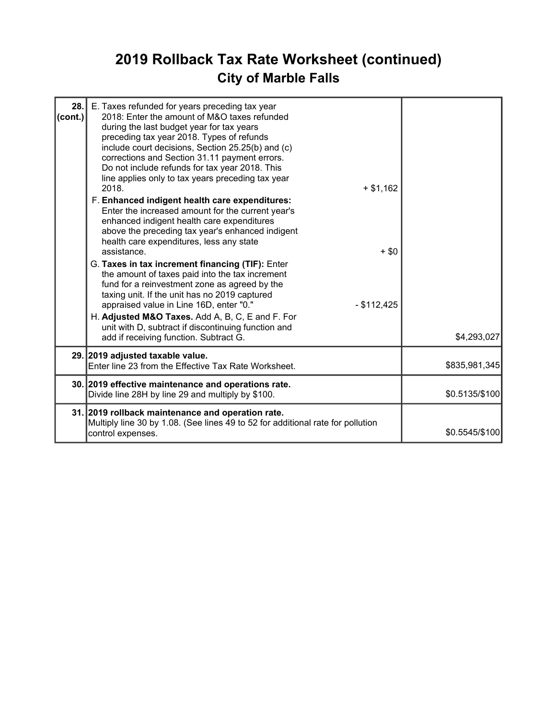## 2019 Rollback Tax Rate Worksheet (continued) City of Marble Falls

| $\text{(cont.)}$ | 28. E. Taxes refunded for years preceding tax year<br>2018: Enter the amount of M&O taxes refunded<br>during the last budget year for tax years<br>preceding tax year 2018. Types of refunds<br>include court decisions, Section 25.25(b) and (c)<br>corrections and Section 31.11 payment errors.<br>Do not include refunds for tax year 2018. This<br>line applies only to tax years preceding tax year<br>2018.<br>$+ $1,162$<br>F. Enhanced indigent health care expenditures:<br>Enter the increased amount for the current year's                                                        |                |
|------------------|------------------------------------------------------------------------------------------------------------------------------------------------------------------------------------------------------------------------------------------------------------------------------------------------------------------------------------------------------------------------------------------------------------------------------------------------------------------------------------------------------------------------------------------------------------------------------------------------|----------------|
|                  | enhanced indigent health care expenditures<br>above the preceding tax year's enhanced indigent<br>health care expenditures, less any state<br>assistance.<br>$+$ \$0<br>G. Taxes in tax increment financing (TIF): Enter<br>the amount of taxes paid into the tax increment<br>fund for a reinvestment zone as agreed by the<br>taxing unit. If the unit has no 2019 captured<br>appraised value in Line 16D, enter "0."<br>$-$ \$112,425<br>H. Adjusted M&O Taxes. Add A, B, C, E and F. For<br>unit with D, subtract if discontinuing function and<br>add if receiving function. Subtract G. | \$4,293,027    |
|                  | 29. 2019 adjusted taxable value.<br>Enter line 23 from the Effective Tax Rate Worksheet.                                                                                                                                                                                                                                                                                                                                                                                                                                                                                                       | \$835,981,345  |
|                  | 30. 2019 effective maintenance and operations rate.<br>Divide line 28H by line 29 and multiply by \$100.                                                                                                                                                                                                                                                                                                                                                                                                                                                                                       | \$0.5135/\$100 |
|                  | 31. 2019 rollback maintenance and operation rate.<br>Multiply line 30 by 1.08. (See lines 49 to 52 for additional rate for pollution<br>control expenses.                                                                                                                                                                                                                                                                                                                                                                                                                                      | \$0.5545/\$100 |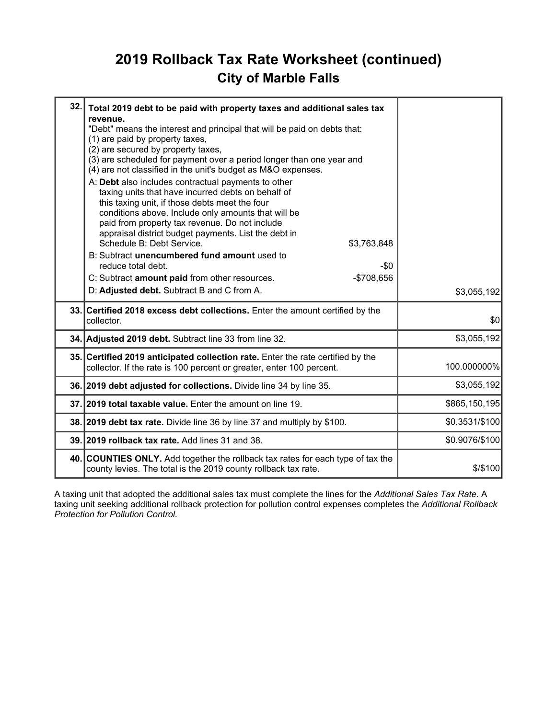## 2019 Rollback Tax Rate Worksheet (continued) City of Marble Falls

| 32. | Total 2019 debt to be paid with property taxes and additional sales tax<br>revenue.<br>"Debt" means the interest and principal that will be paid on debts that:<br>(1) are paid by property taxes,<br>(2) are secured by property taxes,<br>(3) are scheduled for payment over a period longer than one year and<br>(4) are not classified in the unit's budget as M&O expenses.<br>A: Debt also includes contractual payments to other<br>taxing units that have incurred debts on behalf of<br>this taxing unit, if those debts meet the four<br>conditions above. Include only amounts that will be<br>paid from property tax revenue. Do not include<br>appraisal district budget payments. List the debt in<br>Schedule B: Debt Service.<br>\$3,763,848<br>B: Subtract unencumbered fund amount used to<br>reduce total debt.<br>-\$0<br>C: Subtract amount paid from other resources.<br>-\$708,656<br>D: Adjusted debt. Subtract B and C from A. | \$3,055,192    |
|-----|---------------------------------------------------------------------------------------------------------------------------------------------------------------------------------------------------------------------------------------------------------------------------------------------------------------------------------------------------------------------------------------------------------------------------------------------------------------------------------------------------------------------------------------------------------------------------------------------------------------------------------------------------------------------------------------------------------------------------------------------------------------------------------------------------------------------------------------------------------------------------------------------------------------------------------------------------------|----------------|
|     | 33. Certified 2018 excess debt collections. Enter the amount certified by the                                                                                                                                                                                                                                                                                                                                                                                                                                                                                                                                                                                                                                                                                                                                                                                                                                                                           |                |
|     | collector.                                                                                                                                                                                                                                                                                                                                                                                                                                                                                                                                                                                                                                                                                                                                                                                                                                                                                                                                              | \$0            |
|     | 34. Adjusted 2019 debt. Subtract line 33 from line 32.                                                                                                                                                                                                                                                                                                                                                                                                                                                                                                                                                                                                                                                                                                                                                                                                                                                                                                  | \$3,055,192    |
|     | 35. Certified 2019 anticipated collection rate. Enter the rate certified by the<br>collector. If the rate is 100 percent or greater, enter 100 percent.                                                                                                                                                                                                                                                                                                                                                                                                                                                                                                                                                                                                                                                                                                                                                                                                 | 100.000000%    |
|     | 36. 2019 debt adjusted for collections. Divide line 34 by line 35.                                                                                                                                                                                                                                                                                                                                                                                                                                                                                                                                                                                                                                                                                                                                                                                                                                                                                      | \$3,055,192    |
|     | 37.12019 total taxable value. Enter the amount on line 19.                                                                                                                                                                                                                                                                                                                                                                                                                                                                                                                                                                                                                                                                                                                                                                                                                                                                                              | \$865,150,195  |
|     | 38. 2019 debt tax rate. Divide line 36 by line 37 and multiply by \$100.                                                                                                                                                                                                                                                                                                                                                                                                                                                                                                                                                                                                                                                                                                                                                                                                                                                                                | \$0.3531/\$100 |
|     | 39. 2019 rollback tax rate. Add lines 31 and 38.                                                                                                                                                                                                                                                                                                                                                                                                                                                                                                                                                                                                                                                                                                                                                                                                                                                                                                        | \$0.9076/\$100 |
|     | 40. COUNTIES ONLY. Add together the rollback tax rates for each type of tax the<br>county levies. The total is the 2019 county rollback tax rate.                                                                                                                                                                                                                                                                                                                                                                                                                                                                                                                                                                                                                                                                                                                                                                                                       | \$/\$100       |

A taxing unit that adopted the additional sales tax must complete the lines for the Additional Sales Tax Rate. A taxing unit seeking additional rollback protection for pollution control expenses completes the Additional Rollback Protection for Pollution Control.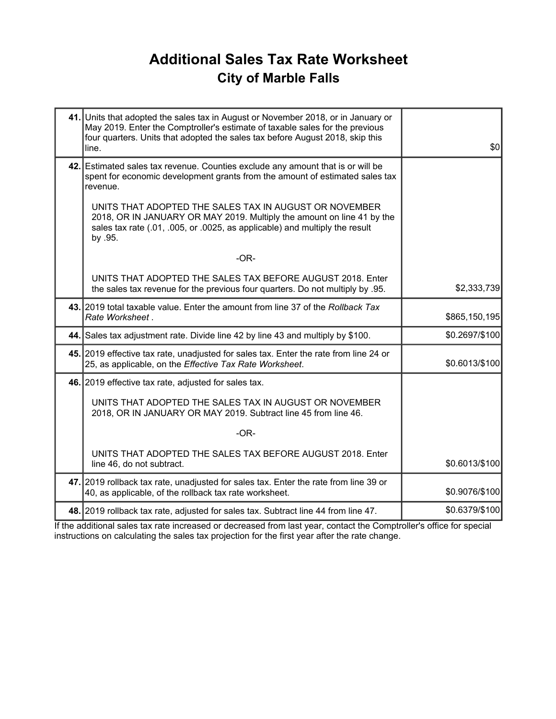## Additional Sales Tax Rate Worksheet City of Marble Falls

| 41. Units that adopted the sales tax in August or November 2018, or in January or<br>May 2019. Enter the Comptroller's estimate of taxable sales for the previous<br>four quarters. Units that adopted the sales tax before August 2018, skip this<br>line. | \$0            |
|-------------------------------------------------------------------------------------------------------------------------------------------------------------------------------------------------------------------------------------------------------------|----------------|
| 42. Estimated sales tax revenue. Counties exclude any amount that is or will be<br>spent for economic development grants from the amount of estimated sales tax<br>revenue.                                                                                 |                |
| UNITS THAT ADOPTED THE SALES TAX IN AUGUST OR NOVEMBER<br>2018, OR IN JANUARY OR MAY 2019. Multiply the amount on line 41 by the<br>sales tax rate (.01, .005, or .0025, as applicable) and multiply the result<br>by .95.                                  |                |
| $-OR-$                                                                                                                                                                                                                                                      |                |
| UNITS THAT ADOPTED THE SALES TAX BEFORE AUGUST 2018. Enter<br>the sales tax revenue for the previous four quarters. Do not multiply by .95.                                                                                                                 | \$2,333,739    |
| 43. 2019 total taxable value. Enter the amount from line 37 of the Rollback Tax<br>Rate Worksheet.                                                                                                                                                          | \$865,150,195  |
| 44. Sales tax adjustment rate. Divide line 42 by line 43 and multiply by \$100.                                                                                                                                                                             | \$0.2697/\$100 |
| 45. 2019 effective tax rate, unadjusted for sales tax. Enter the rate from line 24 or<br>25, as applicable, on the Effective Tax Rate Worksheet.                                                                                                            | \$0.6013/\$100 |
| 46. 2019 effective tax rate, adjusted for sales tax.                                                                                                                                                                                                        |                |
| UNITS THAT ADOPTED THE SALES TAX IN AUGUST OR NOVEMBER<br>2018, OR IN JANUARY OR MAY 2019. Subtract line 45 from line 46.                                                                                                                                   |                |
| $-OR-$                                                                                                                                                                                                                                                      |                |
| UNITS THAT ADOPTED THE SALES TAX BEFORE AUGUST 2018. Enter<br>line 46, do not subtract.                                                                                                                                                                     | \$0.6013/\$100 |
| 47. 2019 rollback tax rate, unadjusted for sales tax. Enter the rate from line 39 or<br>40, as applicable, of the rollback tax rate worksheet.                                                                                                              | \$0.9076/\$100 |
| 48. 2019 rollback tax rate, adjusted for sales tax. Subtract line 44 from line 47.                                                                                                                                                                          | \$0.6379/\$100 |

If the additional sales tax rate increased or decreased from last year, contact the Comptroller's office for special instructions on calculating the sales tax projection for the first year after the rate change.